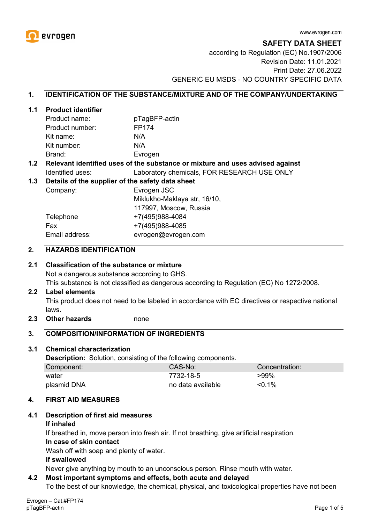

**SAFETY DATA SHEET**

according to Regulation (EC) No.1907/2006 Revision Date: 11.01.2021 Print Date: 27.06.2022 GENERIC EU MSDS - NO COUNTRY SPECIFIC DATA

#### **1. IDENTIFICATION OF THE SUBSTANCE/MIXTURE AND OF THE COMPANY/UNDERTAKING**

#### **1.1 Product identifier**

| Product name:   | pTagBFP-actin |
|-----------------|---------------|
| Product number: | FP174         |
| Kit name:       | N/A           |
| Kit number:     | N/A           |
| Brand:          | Evrogen       |

#### **1.2 Relevant identified uses of the substance or mixture and uses advised against** Identified uses: Laboratory chemicals, FOR RESEARCH USE ONLY

#### **1.3 Details of the supplier of the safety data sheet**

Company: Evrogen JSC Miklukho-Maklaya str, 16/10, 117997, Moscow, Russia Telephone +7(495)988-4084 Fax +7(495)988-4085 Email address: evrogen@evrogen.com

#### **2. HAZARDS IDENTIFICATION**

#### **2.1 Classification of the substance or mixture**

Not a dangerous substance according to GHS.

This substance is not classified as dangerous according to Regulation (EC) No 1272/2008.

#### **2.2 Label elements**

This product does not need to be labeled in accordance with EC directives or respective national laws.

**2.3 Other hazards** none

#### **3. COMPOSITION/INFORMATION OF INGREDIENTS**

#### **3.1 Chemical characterization**

**Description:** Solution, consisting of the following components.

| Component:  | CAS-No:           | Concentration: |
|-------------|-------------------|----------------|
| water       | 7732-18-5         | $>99\%$        |
| plasmid DNA | no data available | $< 0.1\%$      |

#### **4. FIRST AID MEASURES**

#### **4.1 Description of first aid measures**

#### **If inhaled**

If breathed in, move person into fresh air. If not breathing, give artificial respiration.

#### **In case of skin contact**

Wash off with soap and plenty of water.

#### **If swallowed**

Never give anything by mouth to an unconscious person. Rinse mouth with water.

#### **4.2 Most important symptoms and effects, both acute and delayed**

To the best of our knowledge, the chemical, physical, and toxicological properties have not been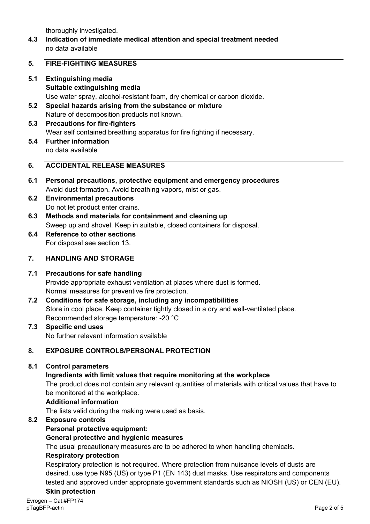thoroughly investigated.

**4.3 Indication of immediate medical attention and special treatment needed** no data available

#### **5. FIRE-FIGHTING MEASURES**

- **5.1 Extinguishing media Suitable extinguishing media** Use water spray, alcohol-resistant foam, dry chemical or carbon dioxide.
- **5.2 Special hazards arising from the substance or mixture** Nature of decomposition products not known.
- **5.3 Precautions for fire-fighters** Wear self contained breathing apparatus for fire fighting if necessary.
- **5.4 Further information** no data available

# **6. ACCIDENTAL RELEASE MEASURES**

- **6.1 Personal precautions, protective equipment and emergency procedures** Avoid dust formation. Avoid breathing vapors, mist or gas.
- **6.2 Environmental precautions** Do not let product enter drains.
- **6.3 Methods and materials for containment and cleaning up** Sweep up and shovel. Keep in suitable, closed containers for disposal.
- **6.4 Reference to other sections** For disposal see section 13.

# **7. HANDLING AND STORAGE**

# **7.1 Precautions for safe handling**

Provide appropriate exhaust ventilation at places where dust is formed. Normal measures for preventive fire protection.

- **7.2 Conditions for safe storage, including any incompatibilities** Store in cool place. Keep container tightly closed in a dry and well-ventilated place. Recommended storage temperature: -20 °C
- **7.3 Specific end uses** No further relevant information available

# **8. EXPOSURE CONTROLS/PERSONAL PROTECTION**

# **8.1 Control parameters**

# **Ingredients with limit values that require monitoring at the workplace**

The product does not contain any relevant quantities of materials with critical values that have to be monitored at the workplace.

#### **Additional information**

The lists valid during the making were used as basis.

# **8.2 Exposure controls**

# **Personal protective equipment:**

# **General protective and hygienic measures**

The usual precautionary measures are to be adhered to when handling chemicals.

#### **Respiratory protection**

Respiratory protection is not required. Where protection from nuisance levels of dusts are desired, use type N95 (US) or type P1 (EN 143) dust masks. Use respirators and components tested and approved under appropriate government standards such as NIOSH (US) or CEN (EU). **Skin protection**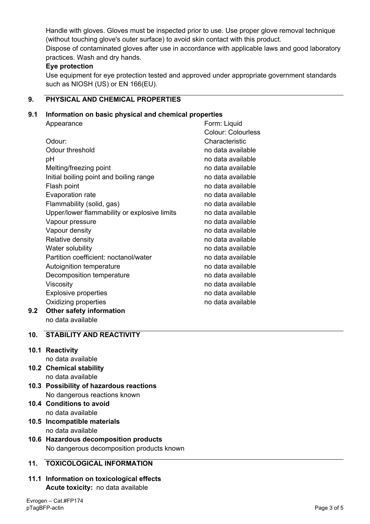Handle with gloves. Gloves must be inspected prior to use. Use proper glove removal technique (without touching glove's outer surface) to avoid skin contact with this product. Dispose of contaminated gloves after use in accordance with applicable laws and good laboratory practices. Wash and dry hands.

# **Eye protection**

Use equipment for eye protection tested and approved under appropriate government standards such as NIOSH (US) or EN 166(EU).

# **9. PHYSICAL AND CHEMICAL PROPERTIES**

# **9.1 Information on basic physical and chemical properties**

|     | Appearance                                   | Form: Liquid              |
|-----|----------------------------------------------|---------------------------|
|     |                                              | <b>Colour: Colourless</b> |
|     | Odour:                                       | Characteristic            |
|     | Odour threshold                              | no data available         |
|     | рH                                           | no data available         |
|     | Melting/freezing point                       | no data available         |
|     | Initial boiling point and boiling range      | no data available         |
|     | Flash point                                  | no data available         |
|     | Evaporation rate                             | no data available         |
|     | Flammability (solid, gas)                    | no data available         |
|     | Upper/lower flammability or explosive limits | no data available         |
|     | Vapour pressure                              | no data available         |
|     | Vapour density                               | no data available         |
|     | Relative density                             | no data available         |
|     | Water solubility                             | no data available         |
|     | Partition coefficient: noctanol/water        | no data available         |
|     | Autoignition temperature                     | no data available         |
|     | Decomposition temperature                    | no data available         |
|     | Viscosity                                    | no data available         |
|     | <b>Explosive properties</b>                  | no data available         |
|     | Oxidizing properties                         | no data available         |
| 9.2 | Other safety information                     |                           |

no data available

# **10. STABILITY AND REACTIVITY**

# **10.1 Reactivity**

- no data available
- **10.2 Chemical stability** no data available
- **10.3 Possibility of hazardous reactions** No dangerous reactions known
- **10.4 Conditions to avoid** no data available
- **10.5 Incompatible materials** no data available
- **10.6 Hazardous decomposition products** No dangerous decomposition products known

# **11. TOXICOLOGICAL INFORMATION**

**11.1 Information on toxicological effects Acute toxicity:** no data available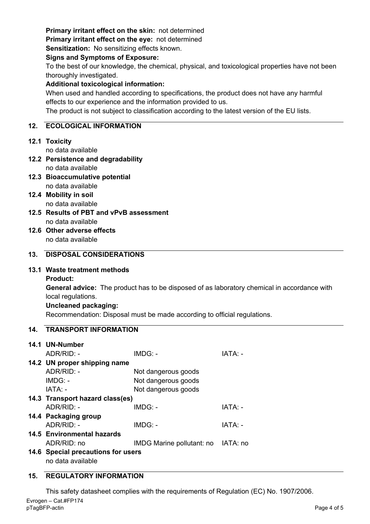# **Primary irritant effect on the skin:** not determined

**Primary irritant effect on the eye:** not determined

**Sensitization:** No sensitizing effects known.

#### **Signs and Symptoms of Exposure:**

To the best of our knowledge, the chemical, physical, and toxicological properties have not been thoroughly investigated.

# **Additional toxicological information:**

When used and handled according to specifications, the product does not have any harmful effects to our experience and the information provided to us.

The product is not subject to classification according to the latest version of the EU lists.

# **12. ECOLOGICAL INFORMATION**

# **12.1 Toxicity**

no data available

- **12.2 Persistence and degradability** no data available
- **12.3 Bioaccumulative potential** no data available
- **12.4 Mobility in soil** no data available
- **12.5 Results of PBT and vPvB assessment** no data available
- **12.6 Other adverse effects** no data available

# **13. DISPOSAL CONSIDERATIONS**

# **13.1 Waste treatment methods**

**Product:**

**General advice:** The product has to be disposed of as laboratory chemical in accordance with local regulations.

# **Uncleaned packaging:**

Recommendation: Disposal must be made according to official regulations.

# **14. TRANSPORT INFORMATION**

| 14.1 UN-Number                     |                                    |         |  |  |
|------------------------------------|------------------------------------|---------|--|--|
| $ADR/RID: -$                       | $IMDG: -$                          | IATA: - |  |  |
| 14.2 UN proper shipping name       |                                    |         |  |  |
| $ADR/RID: -$                       | Not dangerous goods                |         |  |  |
| $IMDG: -$                          | Not dangerous goods                |         |  |  |
| IATA: -                            | Not dangerous goods                |         |  |  |
| 14.3 Transport hazard class(es)    |                                    |         |  |  |
| $ADR/RID -$                        | $IMDG: -$                          | IATA: - |  |  |
| 14.4 Packaging group               |                                    |         |  |  |
| $ADR/RID: -$                       | IMDG: -                            | IATA: - |  |  |
| 14.5 Environmental hazards         |                                    |         |  |  |
| ADR/RID: no                        | IMDG Marine pollutant: no IATA: no |         |  |  |
| 14.6 Special precautions for users |                                    |         |  |  |
| no data available                  |                                    |         |  |  |

# **15. REGULATORY INFORMATION**

This safety datasheet complies with the requirements of Regulation (EC) No. 1907/2006.